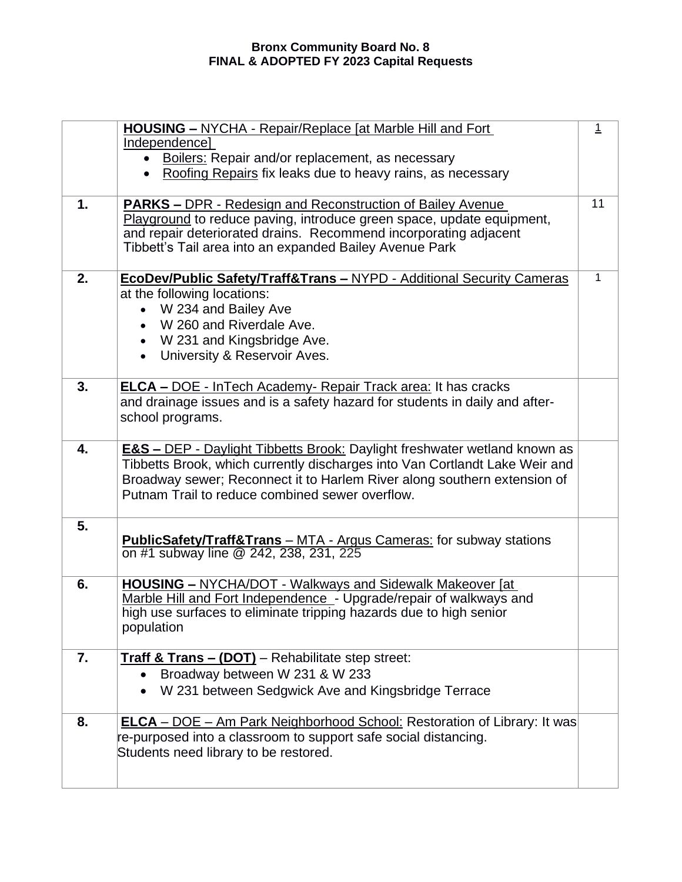|    | <b>HOUSING - NYCHA - Repair/Replace [at Marble Hill and Fort</b>                      | $\overline{1}$ |
|----|---------------------------------------------------------------------------------------|----------------|
|    | Independence]<br><b>Boilers: Repair and/or replacement, as necessary</b><br>$\bullet$ |                |
|    | • Roofing Repairs fix leaks due to heavy rains, as necessary                          |                |
|    |                                                                                       |                |
| 1. | <b>PARKS - DPR - Redesign and Reconstruction of Bailey Avenue</b>                     | 11             |
|    | Playground to reduce paving, introduce green space, update equipment,                 |                |
|    | and repair deteriorated drains. Recommend incorporating adjacent                      |                |
|    | Tibbett's Tail area into an expanded Bailey Avenue Park                               |                |
| 2. | EcoDev/Public Safety/Traff&Trans - NYPD - Additional Security Cameras                 | 1              |
|    | at the following locations:                                                           |                |
|    | • W 234 and Bailey Ave                                                                |                |
|    | W 260 and Riverdale Ave.                                                              |                |
|    | • W 231 and Kingsbridge Ave.                                                          |                |
|    | University & Reservoir Aves.<br>$\bullet$                                             |                |
|    |                                                                                       |                |
| 3. | <b>ELCA – DOE</b> - InTech Academy- Repair Track area: It has cracks                  |                |
|    | and drainage issues and is a safety hazard for students in daily and after-           |                |
|    | school programs.                                                                      |                |
| 4. | <b>E&amp;S - DEP - Daylight Tibbetts Brook: Daylight freshwater wetland known as</b>  |                |
|    | Tibbetts Brook, which currently discharges into Van Cortlandt Lake Weir and           |                |
|    | Broadway sewer; Reconnect it to Harlem River along southern extension of              |                |
|    | Putnam Trail to reduce combined sewer overflow.                                       |                |
|    |                                                                                       |                |
| 5. |                                                                                       |                |
|    | <b>PublicSafety/Traff&amp;Trans</b> - MTA - Argus Cameras: for subway stations        |                |
|    | on #1 subway line @ 242, 238, 231, 225                                                |                |
| 6. | <b>HOUSING - NYCHA/DOT - Walkways and Sidewalk Makeover [at]</b>                      |                |
|    | Marble Hill and Fort Independence - Upgrade/repair of walkways and                    |                |
|    | high use surfaces to eliminate tripping hazards due to high senior                    |                |
|    | population                                                                            |                |
|    |                                                                                       |                |
| 7. | <b>Traff &amp; Trans - (DOT)</b> - Rehabilitate step street:                          |                |
|    | Broadway between W 231 & W 233<br>$\bullet$                                           |                |
|    | • W 231 between Sedgwick Ave and Kingsbridge Terrace                                  |                |
| 8. | <b>ELCA</b> – DOE – Am Park Neighborhood School: Restoration of Library: It was       |                |
|    | re-purposed into a classroom to support safe social distancing.                       |                |
|    | Students need library to be restored.                                                 |                |
|    |                                                                                       |                |
|    |                                                                                       |                |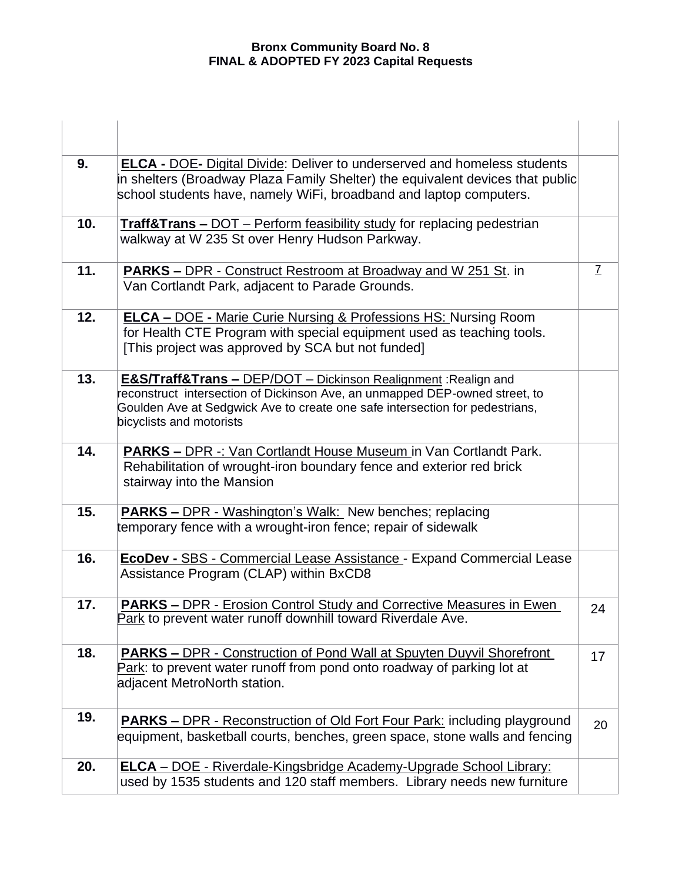## **Bronx Community Board No. 8 FINAL & ADOPTED FY 2023 Capital Requests**

| 9.  | <b>ELCA - DOE- Digital Divide: Deliver to underserved and homeless students</b><br>in shelters (Broadway Plaza Family Shelter) the equivalent devices that public<br>school students have, namely WiFi, broadband and laptop computers.                                  |               |
|-----|--------------------------------------------------------------------------------------------------------------------------------------------------------------------------------------------------------------------------------------------------------------------------|---------------|
| 10. | <b>Traff&amp;Trans - DOT</b> - Perform feasibility study for replacing pedestrian<br>walkway at W 235 St over Henry Hudson Parkway.                                                                                                                                      |               |
| 11. | <b>PARKS - DPR - Construct Restroom at Broadway and W 251 St. in</b><br>Van Cortlandt Park, adjacent to Parade Grounds.                                                                                                                                                  | $\mathcal{I}$ |
| 12. | <b>ELCA - DOE - Marie Curie Nursing &amp; Professions HS: Nursing Room</b><br>for Health CTE Program with special equipment used as teaching tools.<br>[This project was approved by SCA but not funded]                                                                 |               |
| 13. | <b>E&amp;S/Traff&amp;Trans - DEP/DOT</b> - Dickinson Realignment: Realign and<br>reconstruct intersection of Dickinson Ave, an unmapped DEP-owned street, to<br>Goulden Ave at Sedgwick Ave to create one safe intersection for pedestrians,<br>bicyclists and motorists |               |
| 14. | <b>PARKS – DPR -: Van Cortlandt House Museum in Van Cortlandt Park.</b><br>Rehabilitation of wrought-iron boundary fence and exterior red brick<br>stairway into the Mansion                                                                                             |               |
| 15. | <b>PARKS - DPR - Washington's Walk:</b> New benches; replacing<br>temporary fence with a wrought-iron fence; repair of sidewalk                                                                                                                                          |               |
| 16. | <b>EcoDev - SBS - Commercial Lease Assistance - Expand Commercial Lease</b><br>Assistance Program (CLAP) within BxCD8                                                                                                                                                    |               |
| 17. | <b>PARKS - DPR - Erosion Control Study and Corrective Measures in Ewen</b><br>Park to prevent water runoff downhill toward Riverdale Ave.                                                                                                                                | 24            |
| 18. | <b>PARKS - DPR - Construction of Pond Wall at Spuyten Duyvil Shorefront</b><br>Park: to prevent water runoff from pond onto roadway of parking lot at<br>adjacent MetroNorth station.                                                                                    | 17            |
| 19. | <b>PARKS – DPR - Reconstruction of Old Fort Four Park: including playground</b><br>equipment, basketball courts, benches, green space, stone walls and fencing                                                                                                           | 20            |
| 20. | <b>ELCA</b> - DOE - Riverdale-Kingsbridge Academy-Upgrade School Library:<br>used by 1535 students and 120 staff members. Library needs new furniture                                                                                                                    |               |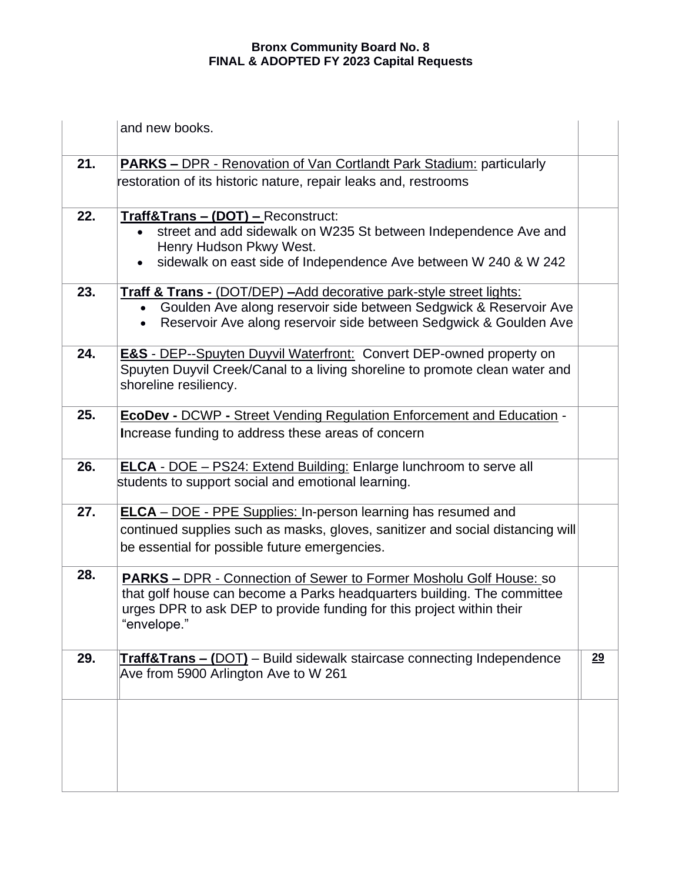## **Bronx Community Board No. 8 FINAL & ADOPTED FY 2023 Capital Requests**

|     | and new books.                                                                                                                                                                                                                               |    |
|-----|----------------------------------------------------------------------------------------------------------------------------------------------------------------------------------------------------------------------------------------------|----|
| 21. | <b>PARKS – DPR - Renovation of Van Cortlandt Park Stadium: particularly</b><br>restoration of its historic nature, repair leaks and, restrooms                                                                                               |    |
| 22. | Traff&Trans - (DOT) - Reconstruct:<br>street and add sidewalk on W235 St between Independence Ave and<br>Henry Hudson Pkwy West.<br>sidewalk on east side of Independence Ave between W 240 & W 242                                          |    |
| 23. | <b>Traff &amp; Trans - (DOT/DEP) - Add decorative park-style street lights:</b><br>Goulden Ave along reservoir side between Sedgwick & Reservoir Ave<br>$\bullet$<br>Reservoir Ave along reservoir side between Sedgwick & Goulden Ave       |    |
| 24. | <b>E&amp;S</b> - DEP--Spuyten Duyvil Waterfront: Convert DEP-owned property on<br>Spuyten Duyvil Creek/Canal to a living shoreline to promote clean water and<br>shoreline resiliency.                                                       |    |
| 25. | <b>EcoDev - DCWP - Street Vending Regulation Enforcement and Education -</b><br>Increase funding to address these areas of concern                                                                                                           |    |
| 26. | <b>ELCA</b> - DOE - PS24: Extend Building: Enlarge lunchroom to serve all<br>students to support social and emotional learning.                                                                                                              |    |
| 27. | <b>ELCA</b> - DOE - PPE Supplies: In-person learning has resumed and<br>continued supplies such as masks, gloves, sanitizer and social distancing will<br>be essential for possible future emergencies.                                      |    |
| 28. | <b>PARKS - DPR - Connection of Sewer to Former Mosholu Golf House: so</b><br>that golf house can become a Parks headquarters building. The committee<br>urges DPR to ask DEP to provide funding for this project within their<br>"envelope." |    |
| 29. | <b>Traff&amp;Trans - (DOT)</b> - Build sidewalk staircase connecting Independence<br>Ave from 5900 Arlington Ave to W 261                                                                                                                    | 29 |
|     |                                                                                                                                                                                                                                              |    |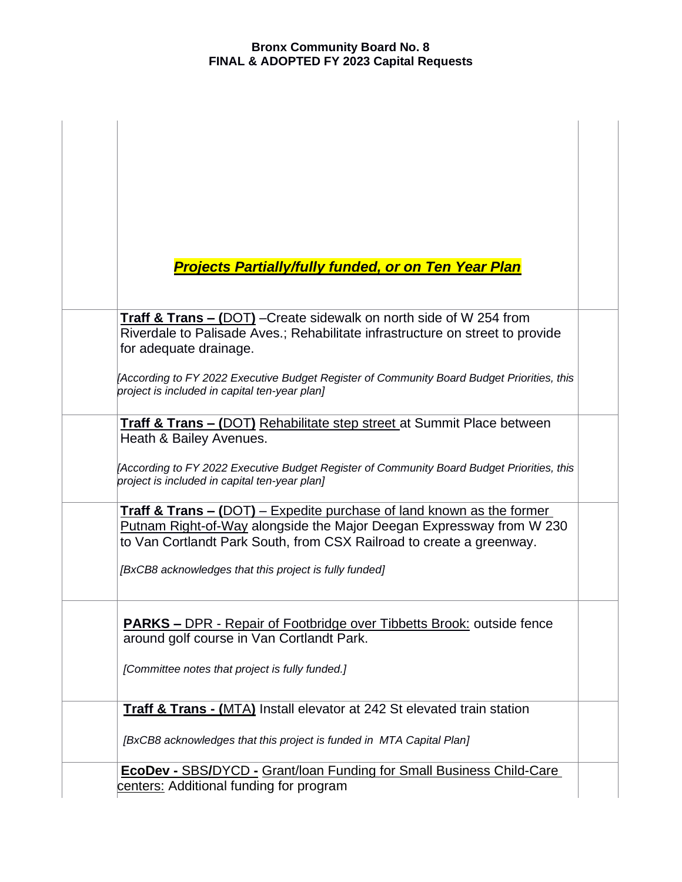| <b>Projects Partially/fully funded, or on Ten Year Plan</b>                                                                                                                                                                      |  |
|----------------------------------------------------------------------------------------------------------------------------------------------------------------------------------------------------------------------------------|--|
|                                                                                                                                                                                                                                  |  |
| Traff & Trans - (DOT) - Create sidewalk on north side of W 254 from<br>Riverdale to Palisade Aves.; Rehabilitate infrastructure on street to provide<br>for adequate drainage.                                                   |  |
| [According to FY 2022 Executive Budget Register of Community Board Budget Priorities, this<br>project is included in capital ten-year plan]                                                                                      |  |
| <b>Traff &amp; Trans – (DOT)</b> Rehabilitate step street at Summit Place between<br>Heath & Bailey Avenues.                                                                                                                     |  |
| [According to FY 2022 Executive Budget Register of Community Board Budget Priorities, this<br>project is included in capital ten-year plan]                                                                                      |  |
| <b>Traff &amp; Trans – (DOT)</b> – Expedite purchase of land known as the former<br>Putnam Right-of-Way alongside the Major Deegan Expressway from W 230<br>to Van Cortlandt Park South, from CSX Railroad to create a greenway. |  |
| [BxCB8 acknowledges that this project is fully funded]                                                                                                                                                                           |  |
| <b>PARKS - DPR - Repair of Footbridge over Tibbetts Brook: outside fence</b><br>around golf course in Van Cortlandt Park.                                                                                                        |  |
| [Committee notes that project is fully funded.]                                                                                                                                                                                  |  |
| <b>Traff &amp; Trans - (MTA)</b> Install elevator at 242 St elevated train station                                                                                                                                               |  |
| [BxCB8 acknowledges that this project is funded in MTA Capital Plan]                                                                                                                                                             |  |
| <b>EcoDev - SBS/DYCD - Grant/loan Funding for Small Business Child-Care</b><br>centers: Additional funding for program                                                                                                           |  |